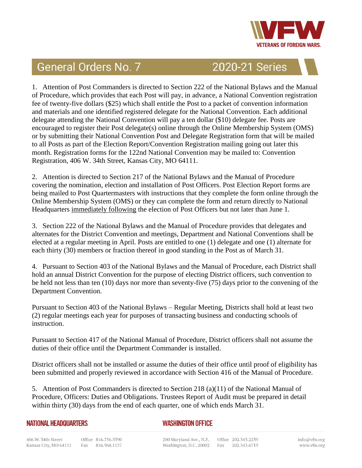

## **General Orders No. 7**

2020-21 Series

1. Attention of Post Commanders is directed to Section 222 of the National Bylaws and the Manual of Procedure, which provides that each Post will pay, in advance, a National Convention registration fee of twenty-five dollars (\$25) which shall entitle the Post to a packet of convention information and materials and one identified registered delegate for the National Convention. Each additional delegate attending the National Convention will pay a ten dollar (\$10) delegate fee. Posts are encouraged to register their Post delegate(s) online through the Online Membership System (OMS) or by submitting their National Convention Post and Delegate Registration form that will be mailed to all Posts as part of the Election Report/Convention Registration mailing going out later this month. Registration forms for the 122nd National Convention may be mailed to: Convention Registration, 406 W. 34th Street, Kansas City, MO 64111.

2. Attention is directed to Section 217 of the National Bylaws and the Manual of Procedure covering the nomination, election and installation of Post Officers. Post Election Report forms are being mailed to Post Quartermasters with instructions that they complete the form online through the Online Membership System (OMS) or they can complete the form and return directly to National Headquarters immediately following the election of Post Officers but not later than June 1.

3. Section 222 of the National Bylaws and the Manual of Procedure provides that delegates and alternates for the District Convention and meetings, Department and National Conventions shall be elected at a regular meeting in April. Posts are entitled to one (1) delegate and one (1) alternate for each thirty (30) members or fraction thereof in good standing in the Post as of March 31.

4. Pursuant to Section 403 of the National Bylaws and the Manual of Procedure, each District shall hold an annual District Convention for the purpose of electing District officers, such convention to be held not less than ten (10) days nor more than seventy-five (75) days prior to the convening of the Department Convention.

Pursuant to Section 403 of the National Bylaws – Regular Meeting, Districts shall hold at least two (2) regular meetings each year for purposes of transacting business and conducting schools of instruction.

Pursuant to Section 417 of the National Manual of Procedure, District officers shall not assume the duties of their office until the Department Commander is installed.

District officers shall not be installed or assume the duties of their office until proof of eligibility has been submitted and properly reviewed in accordance with Section 416 of the Manual of Procedure.

5. Attention of Post Commanders is directed to Section 218 (a)(11) of the National Manual of Procedure, Officers: Duties and Obligations. Trustees Report of Audit must be prepared in detail within thirty (30) days from the end of each quarter, one of which ends March 31.

## **NATIONAL HEADQUARTERS**

## **WASHINGTON OFFICE**